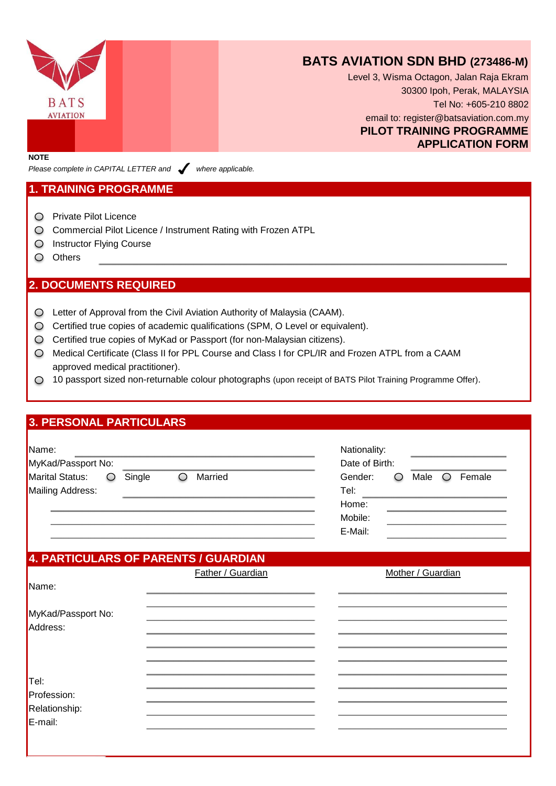

## **BATS AVIATION SDN BHD (273486-M)**

Level 3, Wisma Octagon, Jalan Raja Ekram 30300 Ipoh, Perak, MALAYSIA Tel No: +605-210 8802 email to: register@batsaviation.com.my **PILOT TRAINING PROGRAMME APPLICATION FORM**

**NOTE**

*Please complete in CAPITAL LETTER and vehere applicable.* 

#### **1. TRAINING PROGRAMME**

- Private Pilot Licence
- Commercial Pilot Licence / Instrument Rating with Frozen ATPL
- O Instructor Flying Course
- O Others

#### **2. DOCUMENTS REQUIRED**

- Letter of Approval from the Civil Aviation Authority of Malaysia (CAAM).
- O Certified true copies of academic qualifications (SPM, O Level or equivalent).
- Certified true copies of MyKad or Passport (for non-Malaysian citizens).
- Medical Certificate (Class II for PPL Course and Class I for CPL/IR and Frozen ATPL from a CAAM approved medical practitioner).
- 10 passport sized non-returnable colour photographs (upon receipt of BATS Pilot Training Programme Offer).

#### **3. PERSONAL PARTICULARS**

| Name:<br>MyKad/Passport No: |        |         | Nationality:<br>Date of Birth: |                    |  |      |        |
|-----------------------------|--------|---------|--------------------------------|--------------------|--|------|--------|
| <b>Marital Status:</b>      | Single | Married |                                | Gender:            |  | Male | Female |
| Mailing Address:            |        |         |                                | Tel:<br>Home:      |  |      |        |
|                             |        |         |                                | Mobile:<br>E-Mail: |  |      |        |
|                             |        |         |                                |                    |  |      |        |

### **4. PARTICULARS OF PARENTS / GUARDIAN**

|                                | Father / Guardian | Mother / Guardian |
|--------------------------------|-------------------|-------------------|
| IName:                         |                   |                   |
|                                |                   |                   |
| MyKad/Passport No:<br>Address: |                   |                   |
|                                |                   |                   |
|                                |                   |                   |
|                                |                   |                   |
|                                |                   |                   |
| Tel:                           |                   |                   |
| Profession:                    |                   |                   |
| Relationship:<br>E-mail:       |                   |                   |
|                                |                   |                   |
|                                |                   |                   |